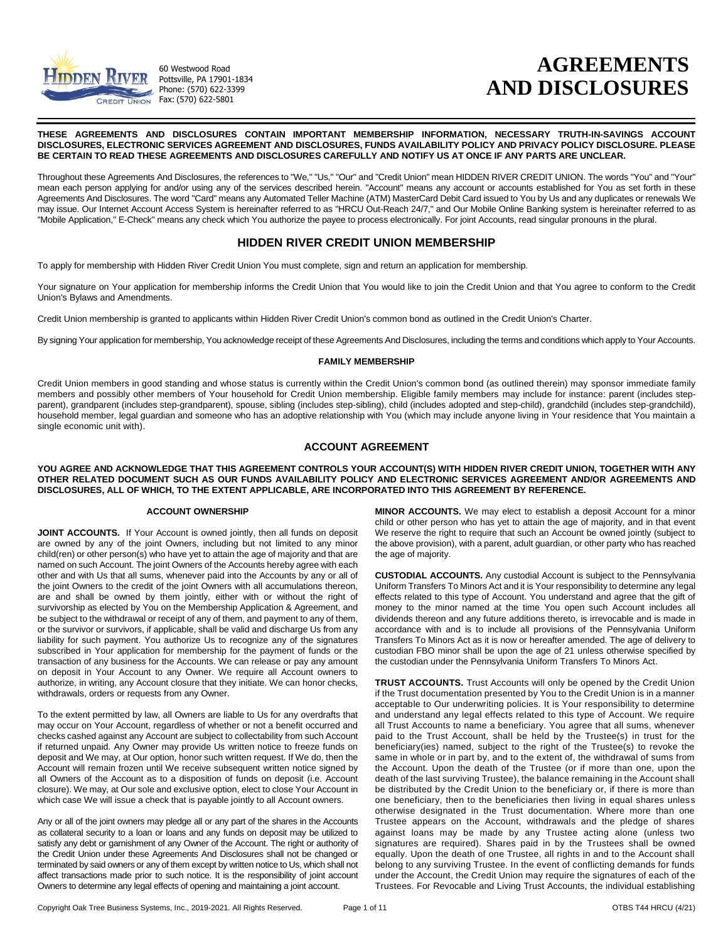

60 Westwood Road Pottsville, PA 17901-1834 Phone: (570) 622-3399 CREDIT UNION Fax: (570) 622-5801

# **AGREEMENTS AND DISCLOSURES**

#### **THESE AGREEMENTS AND DISCLOSURES CONTAIN IMPORTANT MEMBERSHIP INFORMATION, NECESSARY TRUTH-IN-SAVINGS ACCOUNT DISCLOSURES, ELECTRONIC SERVICES AGREEMENT AND DISCLOSURES, FUNDS AVAILABILITY POLICY AND PRIVACY POLICY DISCLOSURE. PLEASE BE CERTAIN TO READ THESE AGREEMENTS AND DISCLOSURES CAREFULLY AND NOTIFY US AT ONCE IF ANY PARTS ARE UNCLEAR.**

Throughout these Agreements And Disclosures, the references to "We," "Us," "Our" and "Credit Union" mean HIDDEN RIVER CREDIT UNION. The words "You" and "Your" mean each person applying for and/or using any of the services described herein. "Account" means any account or accounts established for You as set forth in these Agreements And Disclosures. The word "Card" means any Automated Teller Machine (ATM) MasterCard Debit Card issued to You by Us and any duplicates or renewals We may issue. Our Internet Account Access System is hereinafter referred to as "HRCU Out-Reach 24/7," and Our Mobile Online Banking system is hereinafter referred to as "Mobile Application," E-Check" means any check which You authorize the payee to process electronically. For joint Accounts, read singular pronouns in the plural.

# **HIDDEN RIVER CREDIT UNION MEMBERSHIP**

To apply for membership with Hidden River Credit Union You must complete, sign and return an application for membership.

Your signature on Your application for membership informs the Credit Union that You would like to join the Credit Union and that You agree to conform to the Credit Union's Bylaws and Amendments.

Credit Union membership is granted to applicants within Hidden River Credit Union's common bond as outlined in the Credit Union's Charter.

By signing Your application for membership, You acknowledge receipt of these Agreements And Disclosures, including the terms and conditions which apply to Your Accounts.

#### **FAMILY MEMBERSHIP**

Credit Union members in good standing and whose status is currently within the Credit Union's common bond (as outlined therein) may sponsor immediate family members and possibly other members of Your household for Credit Union membership. Eligible family members may include for instance: parent (includes stepparent), grandparent (includes step-grandparent), spouse, sibling (includes step-sibling), child (includes adopted and step-child), grandchild (includes step-grandchild), household member, legal guardian and someone who has an adoptive relationship with You (which may include anyone living in Your residence that You maintain a single economic unit with).

# **ACCOUNT AGREEMENT**

**YOU AGREE AND ACKNOWLEDGE THAT THIS AGREEMENT CONTROLS YOUR ACCOUNT(S) WITH HIDDEN RIVER CREDIT UNION, TOGETHER WITH ANY OTHER RELATED DOCUMENT SUCH AS OUR FUNDS AVAILABILITY POLICY AND ELECTRONIC SERVICES AGREEMENT AND/OR AGREEMENTS AND DISCLOSURES, ALL OF WHICH, TO THE EXTENT APPLICABLE, ARE INCORPORATED INTO THIS AGREEMENT BY REFERENCE.**

#### **ACCOUNT OWNERSHIP**

**JOINT ACCOUNTS.** If Your Account is owned jointly, then all funds on deposit are owned by any of the joint Owners, including but not limited to any minor child(ren) or other person(s) who have yet to attain the age of majority and that are named on such Account. The joint Owners of the Accounts hereby agree with each other and with Us that all sums, whenever paid into the Accounts by any or all of the joint Owners to the credit of the joint Owners with all accumulations thereon, are and shall be owned by them jointly, either with or without the right of survivorship as elected by You on the Membership Application & Agreement, and be subject to the withdrawal or receipt of any of them, and payment to any of them, or the survivor or survivors, if applicable, shall be valid and discharge Us from any liability for such payment. You authorize Us to recognize any of the signatures subscribed in Your application for membership for the payment of funds or the transaction of any business for the Accounts. We can release or pay any amount on deposit in Your Account to any Owner. We require all Account owners to authorize, in writing, any Account closure that they initiate. We can honor checks, withdrawals, orders or requests from any Owner.

To the extent permitted by law, all Owners are liable to Us for any overdrafts that may occur on Your Account, regardless of whether or not a benefit occurred and checks cashed against any Account are subject to collectability from such Account if returned unpaid. Any Owner may provide Us written notice to freeze funds on deposit and We may, at Our option, honor such written request. If We do, then the Account will remain frozen until We receive subsequent written notice signed by all Owners of the Account as to a disposition of funds on deposit (i.e. Account closure). We may, at Our sole and exclusive option, elect to close Your Account in which case We will issue a check that is payable jointly to all Account owners.

Any or all of the joint owners may pledge all or any part of the shares in the Accounts as collateral security to a loan or loans and any funds on deposit may be utilized to satisfy any debt or garnishment of any Owner of the Account. The right or authority of the Credit Union under these Agreements And Disclosures shall not be changed or terminated by said owners or any of them except by written notice to Us, which shall not affect transactions made prior to such notice. It is the responsibility of joint account Owners to determine any legal effects of opening and maintaining a joint account.

**MINOR ACCOUNTS.** We may elect to establish a deposit Account for a minor child or other person who has yet to attain the age of majority, and in that event We reserve the right to require that such an Account be owned jointly (subject to the above provision), with a parent, adult guardian, or other party who has reached the age of majority.

**CUSTODIAL ACCOUNTS.** Any custodial Account is subject to the Pennsylvania Uniform Transfers To Minors Act and it is Your responsibility to determine any legal effects related to this type of Account. You understand and agree that the gift of money to the minor named at the time You open such Account includes all dividends thereon and any future additions thereto, is irrevocable and is made in accordance with and is to include all provisions of the Pennsylvania Uniform Transfers To Minors Act as it is now or hereafter amended. The age of delivery to custodian FBO minor shall be upon the age of 21 unless otherwise specified by the custodian under the Pennsylvania Uniform Transfers To Minors Act.

**TRUST ACCOUNTS.** Trust Accounts will only be opened by the Credit Union if the Trust documentation presented by You to the Credit Union is in a manner acceptable to Our underwriting policies. It is Your responsibility to determine and understand any legal effects related to this type of Account. We require all Trust Accounts to name a beneficiary. You agree that all sums, whenever paid to the Trust Account, shall be held by the Trustee(s) in trust for the beneficiary(ies) named, subject to the right of the Trustee(s) to revoke the same in whole or in part by, and to the extent of, the withdrawal of sums from the Account. Upon the death of the Trustee (or if more than one, upon the death of the last surviving Trustee), the balance remaining in the Account shall be distributed by the Credit Union to the beneficiary or, if there is more than one beneficiary, then to the beneficiaries then living in equal shares unless otherwise designated in the Trust documentation. Where more than one Trustee appears on the Account, withdrawals and the pledge of shares against loans may be made by any Trustee acting alone (unless two signatures are required). Shares paid in by the Trustees shall be owned equally. Upon the death of one Trustee, all rights in and to the Account shall belong to any surviving Trustee. In the event of conflicting demands for funds under the Account, the Credit Union may require the signatures of each of the Trustees. For Revocable and Living Trust Accounts, the individual establishing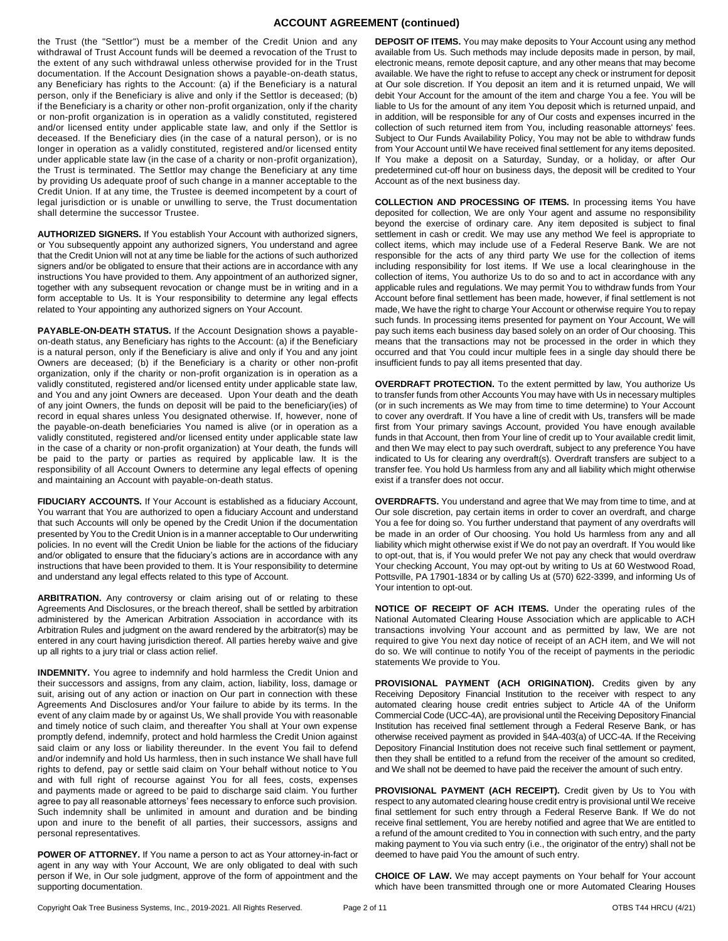# **ACCOUNT AGREEMENT (continued)**

the Trust (the "Settlor") must be a member of the Credit Union and any withdrawal of Trust Account funds will be deemed a revocation of the Trust to the extent of any such withdrawal unless otherwise provided for in the Trust documentation. If the Account Designation shows a payable-on-death status, any Beneficiary has rights to the Account: (a) if the Beneficiary is a natural person, only if the Beneficiary is alive and only if the Settlor is deceased; (b) if the Beneficiary is a charity or other non-profit organization, only if the charity or non-profit organization is in operation as a validly constituted, registered and/or licensed entity under applicable state law, and only if the Settlor is deceased. If the Beneficiary dies (in the case of a natural person), or is no longer in operation as a validly constituted, registered and/or licensed entity under applicable state law (in the case of a charity or non-profit organization), the Trust is terminated. The Settlor may change the Beneficiary at any time by providing Us adequate proof of such change in a manner acceptable to the Credit Union. If at any time, the Trustee is deemed incompetent by a court of legal jurisdiction or is unable or unwilling to serve, the Trust documentation shall determine the successor Trustee.

**AUTHORIZED SIGNERS.** If You establish Your Account with authorized signers, or You subsequently appoint any authorized signers, You understand and agree that the Credit Union will not at any time be liable for the actions of such authorized signers and/or be obligated to ensure that their actions are in accordance with any instructions You have provided to them. Any appointment of an authorized signer, together with any subsequent revocation or change must be in writing and in a form acceptable to Us. It is Your responsibility to determine any legal effects related to Your appointing any authorized signers on Your Account.

**PAYABLE-ON-DEATH STATUS.** If the Account Designation shows a payableon-death status, any Beneficiary has rights to the Account: (a) if the Beneficiary is a natural person, only if the Beneficiary is alive and only if You and any joint Owners are deceased; (b) if the Beneficiary is a charity or other non-profit organization, only if the charity or non-profit organization is in operation as a validly constituted, registered and/or licensed entity under applicable state law, and You and any joint Owners are deceased. Upon Your death and the death of any joint Owners, the funds on deposit will be paid to the beneficiary(ies) of record in equal shares unless You designated otherwise. If, however, none of the payable-on-death beneficiaries You named is alive (or in operation as a validly constituted, registered and/or licensed entity under applicable state law in the case of a charity or non-profit organization) at Your death, the funds will be paid to the party or parties as required by applicable law. It is the responsibility of all Account Owners to determine any legal effects of opening and maintaining an Account with payable-on-death status.

**FIDUCIARY ACCOUNTS.** If Your Account is established as a fiduciary Account, You warrant that You are authorized to open a fiduciary Account and understand that such Accounts will only be opened by the Credit Union if the documentation presented by You to the Credit Union is in a manner acceptable to Our underwriting policies. In no event will the Credit Union be liable for the actions of the fiduciary and/or obligated to ensure that the fiduciary's actions are in accordance with any instructions that have been provided to them. It is Your responsibility to determine and understand any legal effects related to this type of Account.

**ARBITRATION.** Any controversy or claim arising out of or relating to these Agreements And Disclosures, or the breach thereof, shall be settled by arbitration administered by the American Arbitration Association in accordance with its Arbitration Rules and judgment on the award rendered by the arbitrator(s) may be entered in any court having jurisdiction thereof. All parties hereby waive and give up all rights to a jury trial or class action relief.

**INDEMNITY.** You agree to indemnify and hold harmless the Credit Union and their successors and assigns, from any claim, action, liability, loss, damage or suit, arising out of any action or inaction on Our part in connection with these Agreements And Disclosures and/or Your failure to abide by its terms. In the event of any claim made by or against Us, We shall provide You with reasonable and timely notice of such claim, and thereafter You shall at Your own expense promptly defend, indemnify, protect and hold harmless the Credit Union against said claim or any loss or liability thereunder. In the event You fail to defend and/or indemnify and hold Us harmless, then in such instance We shall have full rights to defend, pay or settle said claim on Your behalf without notice to You and with full right of recourse against You for all fees, costs, expenses and payments made or agreed to be paid to discharge said claim. You further agree to pay all reasonable attorneys' fees necessary to enforce such provision. Such indemnity shall be unlimited in amount and duration and be binding upon and inure to the benefit of all parties, their successors, assigns and personal representatives.

**POWER OF ATTORNEY.** If You name a person to act as Your attorney-in-fact or agent in any way with Your Account, We are only obligated to deal with such person if We, in Our sole judgment, approve of the form of appointment and the supporting documentation.

**DEPOSIT OF ITEMS.** You may make deposits to Your Account using any method available from Us. Such methods may include deposits made in person, by mail, electronic means, remote deposit capture, and any other means that may become available. We have the right to refuse to accept any check or instrument for deposit at Our sole discretion. If You deposit an item and it is returned unpaid, We will debit Your Account for the amount of the item and charge You a fee. You will be liable to Us for the amount of any item You deposit which is returned unpaid, and in addition, will be responsible for any of Our costs and expenses incurred in the collection of such returned item from You, including reasonable attorneys' fees. Subject to Our Funds Availability Policy, You may not be able to withdraw funds from Your Account until We have received final settlement for any items deposited. If You make a deposit on a Saturday, Sunday, or a holiday, or after Our predetermined cut-off hour on business days, the deposit will be credited to Your Account as of the next business day.

**COLLECTION AND PROCESSING OF ITEMS.** In processing items You have deposited for collection, We are only Your agent and assume no responsibility beyond the exercise of ordinary care. Any item deposited is subject to final settlement in cash or credit. We may use any method We feel is appropriate to collect items, which may include use of a Federal Reserve Bank. We are not responsible for the acts of any third party We use for the collection of items including responsibility for lost items. If We use a local clearinghouse in the collection of items, You authorize Us to do so and to act in accordance with any applicable rules and regulations. We may permit You to withdraw funds from Your Account before final settlement has been made, however, if final settlement is not made, We have the right to charge Your Account or otherwise require You to repay such funds. In processing items presented for payment on Your Account, We will pay such items each business day based solely on an order of Our choosing. This means that the transactions may not be processed in the order in which they occurred and that You could incur multiple fees in a single day should there be insufficient funds to pay all items presented that day.

**OVERDRAFT PROTECTION.** To the extent permitted by law, You authorize Us to transfer funds from other Accounts You may have with Us in necessary multiples (or in such increments as We may from time to time determine) to Your Account to cover any overdraft. If You have a line of credit with Us, transfers will be made first from Your primary savings Account, provided You have enough available funds in that Account, then from Your line of credit up to Your available credit limit, and then We may elect to pay such overdraft, subject to any preference You have indicated to Us for clearing any overdraft(s). Overdraft transfers are subject to a transfer fee. You hold Us harmless from any and all liability which might otherwise exist if a transfer does not occur.

**OVERDRAFTS.** You understand and agree that We may from time to time, and at Our sole discretion, pay certain items in order to cover an overdraft, and charge You a fee for doing so. You further understand that payment of any overdrafts will be made in an order of Our choosing. You hold Us harmless from any and all liability which might otherwise exist if We do not pay an overdraft. If You would like to opt-out, that is, if You would prefer We not pay any check that would overdraw Your checking Account, You may opt-out by writing to Us at 60 Westwood Road, Pottsville, PA 17901-1834 or by calling Us at (570) 622-3399, and informing Us of Your intention to opt-out.

**NOTICE OF RECEIPT OF ACH ITEMS.** Under the operating rules of the National Automated Clearing House Association which are applicable to ACH transactions involving Your account and as permitted by law, We are not required to give You next day notice of receipt of an ACH item, and We will not do so. We will continue to notify You of the receipt of payments in the periodic statements We provide to You.

PROVISIONAL PAYMENT (ACH ORIGINATION). Credits given by any Receiving Depository Financial Institution to the receiver with respect to any automated clearing house credit entries subject to Article 4A of the Uniform Commercial Code (UCC-4A), are provisional until the Receiving Depository Financial Institution has received final settlement through a Federal Reserve Bank, or has otherwise received payment as provided in §4A-403(a) of UCC-4A. If the Receiving Depository Financial Institution does not receive such final settlement or payment, then they shall be entitled to a refund from the receiver of the amount so credited, and We shall not be deemed to have paid the receiver the amount of such entry.

PROVISIONAL PAYMENT (ACH RECEIPT). Credit given by Us to You with respect to any automated clearing house credit entry is provisional until We receive final settlement for such entry through a Federal Reserve Bank. If We do not receive final settlement, You are hereby notified and agree that We are entitled to a refund of the amount credited to You in connection with such entry, and the party making payment to You via such entry (i.e., the originator of the entry) shall not be deemed to have paid You the amount of such entry.

**CHOICE OF LAW.** We may accept payments on Your behalf for Your account which have been transmitted through one or more Automated Clearing Houses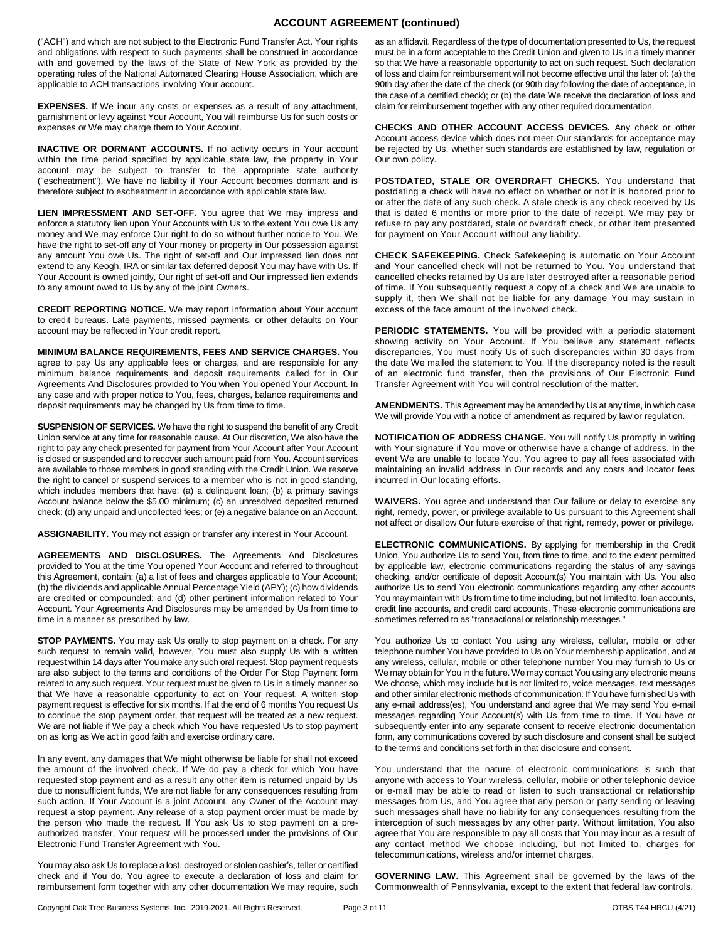## **ACCOUNT AGREEMENT (continued)**

("ACH") and which are not subject to the Electronic Fund Transfer Act. Your rights and obligations with respect to such payments shall be construed in accordance with and governed by the laws of the State of New York as provided by the operating rules of the National Automated Clearing House Association, which are applicable to ACH transactions involving Your account.

**EXPENSES.** If We incur any costs or expenses as a result of any attachment, garnishment or levy against Your Account, You will reimburse Us for such costs or expenses or We may charge them to Your Account.

**INACTIVE OR DORMANT ACCOUNTS.** If no activity occurs in Your account within the time period specified by applicable state law, the property in Your account may be subject to transfer to the appropriate state authority ("escheatment"). We have no liability if Your Account becomes dormant and is therefore subject to escheatment in accordance with applicable state law.

**LIEN IMPRESSMENT AND SET-OFF.** You agree that We may impress and enforce a statutory lien upon Your Accounts with Us to the extent You owe Us any money and We may enforce Our right to do so without further notice to You. We have the right to set-off any of Your money or property in Our possession against any amount You owe Us. The right of set-off and Our impressed lien does not extend to any Keogh, IRA or similar tax deferred deposit You may have with Us. If Your Account is owned jointly, Our right of set-off and Our impressed lien extends to any amount owed to Us by any of the joint Owners.

**CREDIT REPORTING NOTICE.** We may report information about Your account to credit bureaus. Late payments, missed payments, or other defaults on Your account may be reflected in Your credit report.

**MINIMUM BALANCE REQUIREMENTS, FEES AND SERVICE CHARGES.** You agree to pay Us any applicable fees or charges, and are responsible for any minimum balance requirements and deposit requirements called for in Our Agreements And Disclosures provided to You when You opened Your Account. In any case and with proper notice to You, fees, charges, balance requirements and deposit requirements may be changed by Us from time to time.

**SUSPENSION OF SERVICES.** We have the right to suspend the benefit of any Credit Union service at any time for reasonable cause. At Our discretion, We also have the right to pay any check presented for payment from Your Account after Your Account is closed or suspended and to recover such amount paid from You. Account services are available to those members in good standing with the Credit Union. We reserve the right to cancel or suspend services to a member who is not in good standing, which includes members that have: (a) a delinquent loan; (b) a primary savings Account balance below the \$5.00 minimum; (c) an unresolved deposited returned check; (d) any unpaid and uncollected fees; or (e) a negative balance on an Account.

**ASSIGNABILITY.** You may not assign or transfer any interest in Your Account.

**AGREEMENTS AND DISCLOSURES.** The Agreements And Disclosures provided to You at the time You opened Your Account and referred to throughout this Agreement, contain: (a) a list of fees and charges applicable to Your Account; (b) the dividends and applicable Annual Percentage Yield (APY); (c) how dividends are credited or compounded; and (d) other pertinent information related to Your Account. Your Agreements And Disclosures may be amended by Us from time to time in a manner as prescribed by law.

**STOP PAYMENTS.** You may ask Us orally to stop payment on a check. For any such request to remain valid, however, You must also supply Us with a written request within 14 days after You make any such oral request. Stop payment requests are also subject to the terms and conditions of the Order For Stop Payment form related to any such request. Your request must be given to Us in a timely manner so that We have a reasonable opportunity to act on Your request. A written stop payment request is effective for six months. If at the end of 6 months You request Us to continue the stop payment order, that request will be treated as a new request. We are not liable if We pay a check which You have requested Us to stop payment on as long as We act in good faith and exercise ordinary care.

In any event, any damages that We might otherwise be liable for shall not exceed the amount of the involved check. If We do pay a check for which You have requested stop payment and as a result any other item is returned unpaid by Us due to nonsufficient funds, We are not liable for any consequences resulting from such action. If Your Account is a joint Account, any Owner of the Account may request a stop payment. Any release of a stop payment order must be made by the person who made the request. If You ask Us to stop payment on a preauthorized transfer, Your request will be processed under the provisions of Our Electronic Fund Transfer Agreement with You.

You may also ask Us to replace a lost, destroyed or stolen cashier's, teller or certified check and if You do, You agree to execute a declaration of loss and claim for reimbursement form together with any other documentation We may require, such

as an affidavit. Regardless of the type of documentation presented to Us, the request must be in a form acceptable to the Credit Union and given to Us in a timely manner so that We have a reasonable opportunity to act on such request. Such declaration of loss and claim for reimbursement will not become effective until the later of: (a) the 90th day after the date of the check (or 90th day following the date of acceptance, in the case of a certified check); or (b) the date We receive the declaration of loss and claim for reimbursement together with any other required documentation.

**CHECKS AND OTHER ACCOUNT ACCESS DEVICES.** Any check or other Account access device which does not meet Our standards for acceptance may be rejected by Us, whether such standards are established by law, regulation or Our own policy.

**POSTDATED, STALE OR OVERDRAFT CHECKS.** You understand that postdating a check will have no effect on whether or not it is honored prior to or after the date of any such check. A stale check is any check received by Us that is dated 6 months or more prior to the date of receipt. We may pay or refuse to pay any postdated, stale or overdraft check, or other item presented for payment on Your Account without any liability.

**CHECK SAFEKEEPING.** Check Safekeeping is automatic on Your Account and Your cancelled check will not be returned to You. You understand that cancelled checks retained by Us are later destroyed after a reasonable period of time. If You subsequently request a copy of a check and We are unable to supply it, then We shall not be liable for any damage You may sustain in excess of the face amount of the involved check.

**PERIODIC STATEMENTS.** You will be provided with a periodic statement showing activity on Your Account. If You believe any statement reflects discrepancies, You must notify Us of such discrepancies within 30 days from the date We mailed the statement to You. If the discrepancy noted is the result of an electronic fund transfer, then the provisions of Our Electronic Fund Transfer Agreement with You will control resolution of the matter.

**AMENDMENTS.** This Agreement may be amended by Us at any time, in which case We will provide You with a notice of amendment as required by law or regulation.

**NOTIFICATION OF ADDRESS CHANGE.** You will notify Us promptly in writing with Your signature if You move or otherwise have a change of address. In the event We are unable to locate You, You agree to pay all fees associated with maintaining an invalid address in Our records and any costs and locator fees incurred in Our locating efforts.

**WAIVERS.** You agree and understand that Our failure or delay to exercise any right, remedy, power, or privilege available to Us pursuant to this Agreement shall not affect or disallow Our future exercise of that right, remedy, power or privilege.

**ELECTRONIC COMMUNICATIONS.** By applying for membership in the Credit Union, You authorize Us to send You, from time to time, and to the extent permitted by applicable law, electronic communications regarding the status of any savings checking, and/or certificate of deposit Account(s) You maintain with Us. You also authorize Us to send You electronic communications regarding any other accounts You may maintain with Us from time to time including, but not limited to, loan accounts, credit line accounts, and credit card accounts. These electronic communications are sometimes referred to as "transactional or relationship messages."

You authorize Us to contact You using any wireless, cellular, mobile or other telephone number You have provided to Us on Your membership application, and at any wireless, cellular, mobile or other telephone number You may furnish to Us or We may obtain for You in the future. We may contact You using any electronic means We choose, which may include but is not limited to, voice messages, text messages and other similar electronic methods of communication. If You have furnished Us with any e-mail address(es), You understand and agree that We may send You e-mail messages regarding Your Account(s) with Us from time to time. If You have or subsequently enter into any separate consent to receive electronic documentation form, any communications covered by such disclosure and consent shall be subject to the terms and conditions set forth in that disclosure and consent.

You understand that the nature of electronic communications is such that anyone with access to Your wireless, cellular, mobile or other telephonic device or e-mail may be able to read or listen to such transactional or relationship messages from Us, and You agree that any person or party sending or leaving such messages shall have no liability for any consequences resulting from the interception of such messages by any other party. Without limitation, You also agree that You are responsible to pay all costs that You may incur as a result of any contact method We choose including, but not limited to, charges for telecommunications, wireless and/or internet charges.

**GOVERNING LAW.** This Agreement shall be governed by the laws of the Commonwealth of Pennsylvania, except to the extent that federal law controls.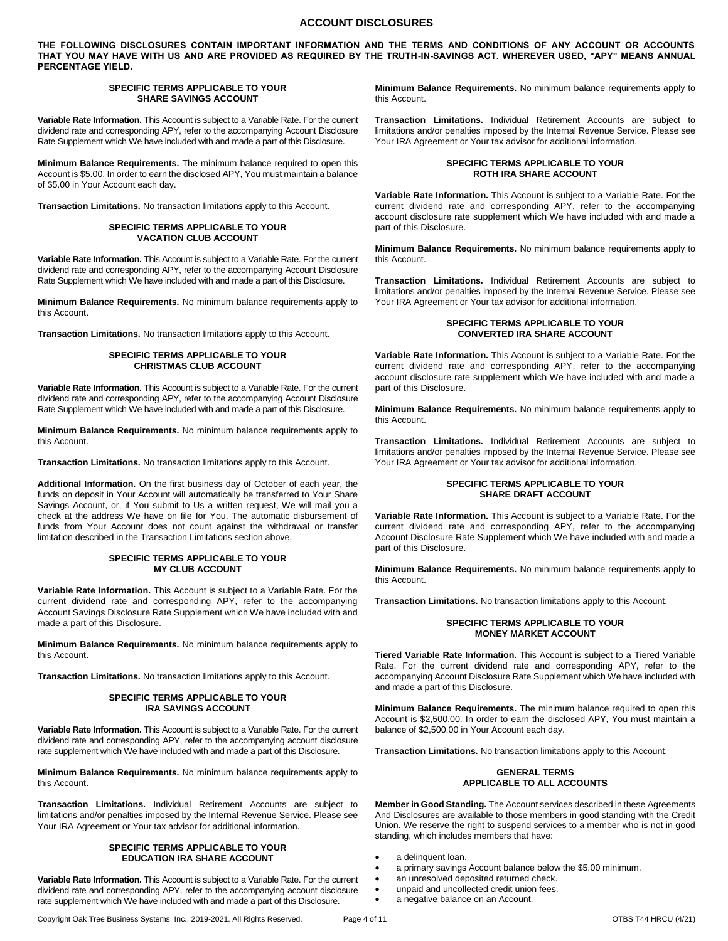## **ACCOUNT DISCLOSURES**

**THE FOLLOWING DISCLOSURES CONTAIN IMPORTANT INFORMATION AND THE TERMS AND CONDITIONS OF ANY ACCOUNT OR ACCOUNTS THAT YOU MAY HAVE WITH US AND ARE PROVIDED AS REQUIRED BY THE TRUTH-IN-SAVINGS ACT. WHEREVER USED, "APY" MEANS ANNUAL PERCENTAGE YIELD.** 

#### **SPECIFIC TERMS APPLICABLE TO YOUR SHARE SAVINGS ACCOUNT**

**Variable Rate Information.** This Account is subject to a Variable Rate. For the current dividend rate and corresponding APY, refer to the accompanying Account Disclosure Rate Supplement which We have included with and made a part of this Disclosure.

**Minimum Balance Requirements.** The minimum balance required to open this Account is \$5.00. In order to earn the disclosed APY, You must maintain a balance of \$5.00 in Your Account each day.

**Transaction Limitations.** No transaction limitations apply to this Account.

#### **SPECIFIC TERMS APPLICABLE TO YOUR VACATION CLUB ACCOUNT**

**Variable Rate Information.** This Account is subject to a Variable Rate. For the current dividend rate and corresponding APY, refer to the accompanying Account Disclosure Rate Supplement which We have included with and made a part of this Disclosure.

**Minimum Balance Requirements.** No minimum balance requirements apply to this Account.

**Transaction Limitations.** No transaction limitations apply to this Account.

#### **SPECIFIC TERMS APPLICABLE TO YOUR CHRISTMAS CLUB ACCOUNT**

**Variable Rate Information.** This Account is subject to a Variable Rate. For the current dividend rate and corresponding APY, refer to the accompanying Account Disclosure Rate Supplement which We have included with and made a part of this Disclosure.

**Minimum Balance Requirements.** No minimum balance requirements apply to this Account.

**Transaction Limitations.** No transaction limitations apply to this Account.

**Additional Information.** On the first business day of October of each year, the funds on deposit in Your Account will automatically be transferred to Your Share Savings Account, or, if You submit to Us a written request, We will mail you a check at the address We have on file for You. The automatic disbursement of funds from Your Account does not count against the withdrawal or transfer limitation described in the Transaction Limitations section above.

#### **SPECIFIC TERMS APPLICABLE TO YOUR MY CLUB ACCOUNT**

**Variable Rate Information.** This Account is subject to a Variable Rate. For the current dividend rate and corresponding APY, refer to the accompanying Account Savings Disclosure Rate Supplement which We have included with and made a part of this Disclosure.

**Minimum Balance Requirements.** No minimum balance requirements apply to this Account.

**Transaction Limitations.** No transaction limitations apply to this Account.

#### **SPECIFIC TERMS APPLICABLE TO YOUR IRA SAVINGS ACCOUNT**

**Variable Rate Information.** This Account is subject to a Variable Rate. For the current dividend rate and corresponding APY, refer to the accompanying account disclosure rate supplement which We have included with and made a part of this Disclosure.

**Minimum Balance Requirements.** No minimum balance requirements apply to this Account.

**Transaction Limitations.** Individual Retirement Accounts are subject to limitations and/or penalties imposed by the Internal Revenue Service. Please see Your IRA Agreement or Your tax advisor for additional information.

#### **SPECIFIC TERMS APPLICABLE TO YOUR EDUCATION IRA SHARE ACCOUNT**

**Variable Rate Information.** This Account is subject to a Variable Rate. For the current dividend rate and corresponding APY, refer to the accompanying account disclosure rate supplement which We have included with and made a part of this Disclosure.

**Minimum Balance Requirements.** No minimum balance requirements apply to this Account.

**Transaction Limitations.** Individual Retirement Accounts are subject to limitations and/or penalties imposed by the Internal Revenue Service. Please see Your IRA Agreement or Your tax advisor for additional information.

## **SPECIFIC TERMS APPLICABLE TO YOUR ROTH IRA SHARE ACCOUNT**

**Variable Rate Information.** This Account is subject to a Variable Rate. For the current dividend rate and corresponding APY, refer to the accompanying account disclosure rate supplement which We have included with and made a part of this Disclosure.

**Minimum Balance Requirements.** No minimum balance requirements apply to this Account.

**Transaction Limitations.** Individual Retirement Accounts are subject to limitations and/or penalties imposed by the Internal Revenue Service. Please see Your IRA Agreement or Your tax advisor for additional information.

### **SPECIFIC TERMS APPLICABLE TO YOUR CONVERTED IRA SHARE ACCOUNT**

**Variable Rate Information.** This Account is subject to a Variable Rate. For the current dividend rate and corresponding APY, refer to the accompanying account disclosure rate supplement which We have included with and made a part of this Disclosure.

**Minimum Balance Requirements.** No minimum balance requirements apply to this Account.

**Transaction Limitations.** Individual Retirement Accounts are subject to limitations and/or penalties imposed by the Internal Revenue Service. Please see Your IRA Agreement or Your tax advisor for additional information.

## **SPECIFIC TERMS APPLICABLE TO YOUR SHARE DRAFT ACCOUNT**

**Variable Rate Information.** This Account is subject to a Variable Rate. For the current dividend rate and corresponding APY, refer to the accompanying Account Disclosure Rate Supplement which We have included with and made a part of this Disclosure.

**Minimum Balance Requirements.** No minimum balance requirements apply to this Account.

**Transaction Limitations.** No transaction limitations apply to this Account.

#### **SPECIFIC TERMS APPLICABLE TO YOUR MONEY MARKET ACCOUNT**

**Tiered Variable Rate Information.** This Account is subject to a Tiered Variable Rate. For the current dividend rate and corresponding APY, refer to the accompanying Account Disclosure Rate Supplement which We have included with and made a part of this Disclosure.

**Minimum Balance Requirements.** The minimum balance required to open this Account is \$2,500.00. In order to earn the disclosed APY, You must maintain a balance of \$2,500.00 in Your Account each day.

**Transaction Limitations.** No transaction limitations apply to this Account.

#### **GENERAL TERMS APPLICABLE TO ALL ACCOUNTS**

**Member in Good Standing.** The Account services described in these Agreements And Disclosures are available to those members in good standing with the Credit Union. We reserve the right to suspend services to a member who is not in good standing, which includes members that have:

- a delinquent loan.
- a primary savings Account balance below the \$5.00 minimum.
- an unresolved deposited returned check.
- unpaid and uncollected credit union fees.
- a negative balance on an Account.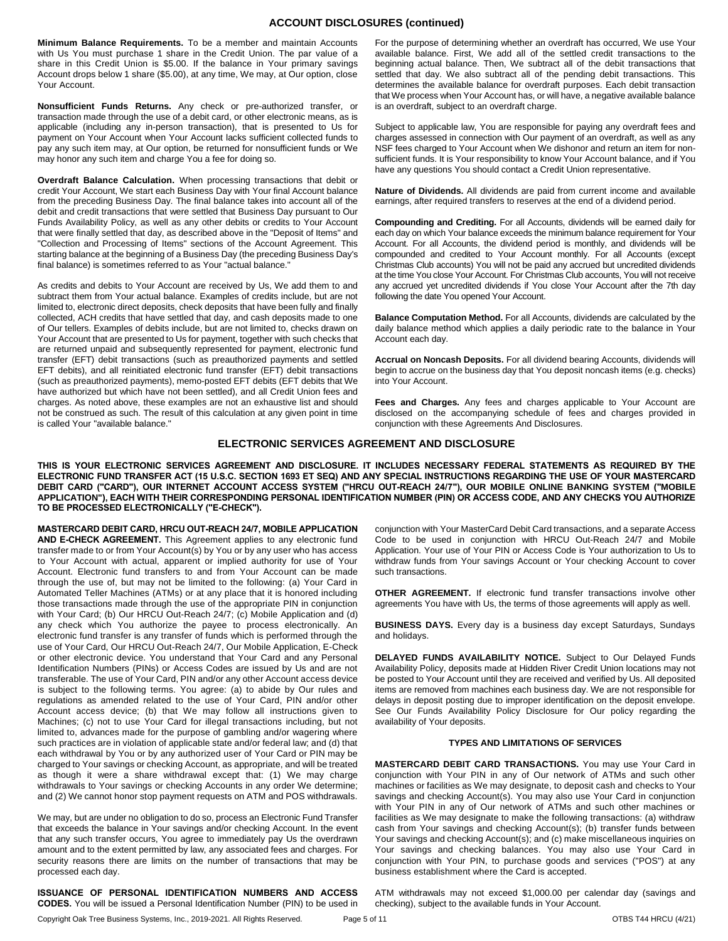## **ACCOUNT DISCLOSURES (continued)**

**Minimum Balance Requirements.** To be a member and maintain Accounts with Us You must purchase 1 share in the Credit Union. The par value of a share in this Credit Union is \$5.00. If the balance in Your primary savings Account drops below 1 share (\$5.00), at any time, We may, at Our option, close Your Account.

**Nonsufficient Funds Returns.** Any check or pre-authorized transfer, or transaction made through the use of a debit card, or other electronic means, as is applicable (including any in-person transaction), that is presented to Us for payment on Your Account when Your Account lacks sufficient collected funds to pay any such item may, at Our option, be returned for nonsufficient funds or We may honor any such item and charge You a fee for doing so.

**Overdraft Balance Calculation.** When processing transactions that debit or credit Your Account, We start each Business Day with Your final Account balance from the preceding Business Day. The final balance takes into account all of the debit and credit transactions that were settled that Business Day pursuant to Our Funds Availability Policy, as well as any other debits or credits to Your Account that were finally settled that day, as described above in the "Deposit of Items" and "Collection and Processing of Items" sections of the Account Agreement. This starting balance at the beginning of a Business Day (the preceding Business Day's final balance) is sometimes referred to as Your "actual balance."

As credits and debits to Your Account are received by Us, We add them to and subtract them from Your actual balance. Examples of credits include, but are not limited to, electronic direct deposits, check deposits that have been fully and finally collected, ACH credits that have settled that day, and cash deposits made to one of Our tellers. Examples of debits include, but are not limited to, checks drawn on Your Account that are presented to Us for payment, together with such checks that are returned unpaid and subsequently represented for payment, electronic fund transfer (EFT) debit transactions (such as preauthorized payments and settled EFT debits), and all reinitiated electronic fund transfer (EFT) debit transactions (such as preauthorized payments), memo-posted EFT debits (EFT debits that We have authorized but which have not been settled), and all Credit Union fees and charges. As noted above, these examples are not an exhaustive list and should not be construed as such. The result of this calculation at any given point in time is called Your "available balance."

For the purpose of determining whether an overdraft has occurred, We use Your available balance. First, We add all of the settled credit transactions to the beginning actual balance. Then, We subtract all of the debit transactions that settled that day. We also subtract all of the pending debit transactions. This determines the available balance for overdraft purposes. Each debit transaction that We process when Your Account has, or will have, a negative available balance is an overdraft, subject to an overdraft charge.

Subject to applicable law, You are responsible for paying any overdraft fees and charges assessed in connection with Our payment of an overdraft, as well as any NSF fees charged to Your Account when We dishonor and return an item for nonsufficient funds. It is Your responsibility to know Your Account balance, and if You have any questions You should contact a Credit Union representative.

**Nature of Dividends.** All dividends are paid from current income and available earnings, after required transfers to reserves at the end of a dividend period.

**Compounding and Crediting.** For all Accounts, dividends will be earned daily for each day on which Your balance exceeds the minimum balance requirement for Your Account. For all Accounts, the dividend period is monthly, and dividends will be compounded and credited to Your Account monthly. For all Accounts (except Christmas Club accounts) You will not be paid any accrued but uncredited dividends at the time You close Your Account. For Christmas Club accounts, You will not receive any accrued yet uncredited dividends if You close Your Account after the 7th day following the date You opened Your Account.

**Balance Computation Method.** For all Accounts, dividends are calculated by the daily balance method which applies a daily periodic rate to the balance in Your Account each day.

**Accrual on Noncash Deposits.** For all dividend bearing Accounts, dividends will begin to accrue on the business day that You deposit noncash items (e.g. checks) into Your Account.

**Fees and Charges.** Any fees and charges applicable to Your Account are disclosed on the accompanying schedule of fees and charges provided in conjunction with these Agreements And Disclosures.

# **ELECTRONIC SERVICES AGREEMENT AND DISCLOSURE**

**THIS IS YOUR ELECTRONIC SERVICES AGREEMENT AND DISCLOSURE. IT INCLUDES NECESSARY FEDERAL STATEMENTS AS REQUIRED BY THE ELECTRONIC FUND TRANSFER ACT (15 U.S.C. SECTION 1693 ET SEQ) AND ANY SPECIAL INSTRUCTIONS REGARDING THE USE OF YOUR MASTERCARD DEBIT CARD ("CARD"), OUR INTERNET ACCOUNT ACCESS SYSTEM ("HRCU OUT-REACH 24/7"), OUR MOBILE ONLINE BANKING SYSTEM ("MOBILE APPLICATION"), EACH WITH THEIR CORRESPONDING PERSONAL IDENTIFICATION NUMBER (PIN) OR ACCESS CODE, AND ANY CHECKS YOU AUTHORIZE TO BE PROCESSED ELECTRONICALLY ("E-CHECK").**

**MASTERCARD DEBIT CARD, HRCU OUT-REACH 24/7, MOBILE APPLICATION AND E-CHECK AGREEMENT.** This Agreement applies to any electronic fund transfer made to or from Your Account(s) by You or by any user who has access to Your Account with actual, apparent or implied authority for use of Your Account. Electronic fund transfers to and from Your Account can be made through the use of, but may not be limited to the following: (a) Your Card in Automated Teller Machines (ATMs) or at any place that it is honored including those transactions made through the use of the appropriate PIN in conjunction with Your Card; (b) Our HRCU Out-Reach 24/7; (c) Mobile Application and (d) any check which You authorize the payee to process electronically. An electronic fund transfer is any transfer of funds which is performed through the use of Your Card, Our HRCU Out-Reach 24/7, Our Mobile Application, E-Check or other electronic device. You understand that Your Card and any Personal Identification Numbers (PINs) or Access Codes are issued by Us and are not transferable. The use of Your Card, PIN and/or any other Account access device is subject to the following terms. You agree: (a) to abide by Our rules and regulations as amended related to the use of Your Card, PIN and/or other Account access device; (b) that We may follow all instructions given to Machines; (c) not to use Your Card for illegal transactions including, but not limited to, advances made for the purpose of gambling and/or wagering where such practices are in violation of applicable state and/or federal law; and (d) that each withdrawal by You or by any authorized user of Your Card or PIN may be charged to Your savings or checking Account, as appropriate, and will be treated as though it were a share withdrawal except that: (1) We may charge withdrawals to Your savings or checking Accounts in any order We determine; and (2) We cannot honor stop payment requests on ATM and POS withdrawals.

We may, but are under no obligation to do so, process an Electronic Fund Transfer that exceeds the balance in Your savings and/or checking Account. In the event that any such transfer occurs, You agree to immediately pay Us the overdrawn amount and to the extent permitted by law, any associated fees and charges. For security reasons there are limits on the number of transactions that may be processed each day.

**ISSUANCE OF PERSONAL IDENTIFICATION NUMBERS AND ACCESS CODES.** You will be issued a Personal Identification Number (PIN) to be used in

conjunction with Your MasterCard Debit Card transactions, and a separate Access Code to be used in conjunction with HRCU Out-Reach 24/7 and Mobile Application. Your use of Your PIN or Access Code is Your authorization to Us to withdraw funds from Your savings Account or Your checking Account to cover such transactions.

**OTHER AGREEMENT.** If electronic fund transfer transactions involve other agreements You have with Us, the terms of those agreements will apply as well.

**BUSINESS DAYS.** Every day is a business day except Saturdays, Sundays and holidays.

**DELAYED FUNDS AVAILABILITY NOTICE.** Subject to Our Delayed Funds Availability Policy, deposits made at Hidden River Credit Union locations may not be posted to Your Account until they are received and verified by Us. All deposited items are removed from machines each business day. We are not responsible for delays in deposit posting due to improper identification on the deposit envelope. See Our Funds Availability Policy Disclosure for Our policy regarding the availability of Your deposits.

#### **TYPES AND LIMITATIONS OF SERVICES**

**MASTERCARD DEBIT CARD TRANSACTIONS.** You may use Your Card in conjunction with Your PIN in any of Our network of ATMs and such other machines or facilities as We may designate, to deposit cash and checks to Your savings and checking Account(s). You may also use Your Card in conjunction with Your PIN in any of Our network of ATMs and such other machines or facilities as We may designate to make the following transactions: (a) withdraw cash from Your savings and checking Account(s); (b) transfer funds between Your savings and checking Account(s); and (c) make miscellaneous inquiries on Your savings and checking balances. You may also use Your Card in conjunction with Your PIN, to purchase goods and services ("POS") at any business establishment where the Card is accepted.

ATM withdrawals may not exceed \$1,000.00 per calendar day (savings and checking), subject to the available funds in Your Account.

Copyright Oak Tree Business Systems, Inc., 2019-2021. All Rights Reserved. Page 5 of 11 COTBS T44 HRCU (4/21)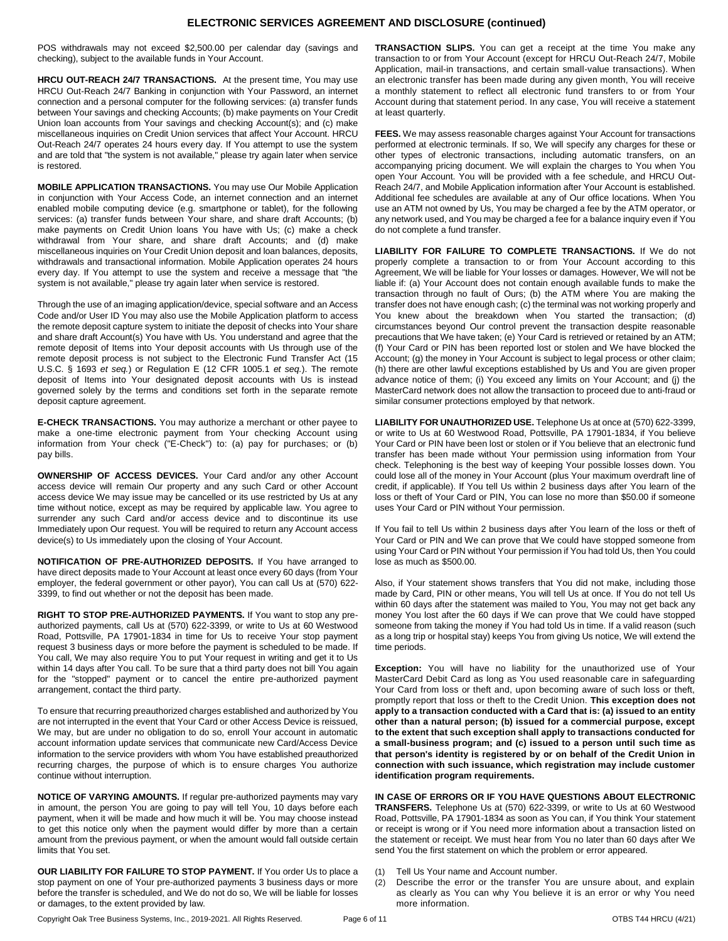## **ELECTRONIC SERVICES AGREEMENT AND DISCLOSURE (continued)**

POS withdrawals may not exceed \$2,500.00 per calendar day (savings and checking), subject to the available funds in Your Account.

**HRCU OUT-REACH 24/7 TRANSACTIONS.** At the present time, You may use HRCU Out-Reach 24/7 Banking in conjunction with Your Password, an internet connection and a personal computer for the following services: (a) transfer funds between Your savings and checking Accounts; (b) make payments on Your Credit Union loan accounts from Your savings and checking Account(s); and (c) make miscellaneous inquiries on Credit Union services that affect Your Account. HRCU Out-Reach 24/7 operates 24 hours every day. If You attempt to use the system and are told that "the system is not available," please try again later when service is restored.

**MOBILE APPLICATION TRANSACTIONS.** You may use Our Mobile Application in conjunction with Your Access Code, an internet connection and an internet enabled mobile computing device (e.g. smartphone or tablet), for the following services: (a) transfer funds between Your share, and share draft Accounts; (b) make payments on Credit Union loans You have with Us; (c) make a check withdrawal from Your share, and share draft Accounts; and (d) make miscellaneous inquiries on Your Credit Union deposit and loan balances, deposits, withdrawals and transactional information. Mobile Application operates 24 hours every day. If You attempt to use the system and receive a message that "the system is not available," please try again later when service is restored.

Through the use of an imaging application/device, special software and an Access Code and/or User ID You may also use the Mobile Application platform to access the remote deposit capture system to initiate the deposit of checks into Your share and share draft Account(s) You have with Us. You understand and agree that the remote deposit of Items into Your deposit accounts with Us through use of the remote deposit process is not subject to the Electronic Fund Transfer Act (15 U.S.C. § 1693 *et seq.*) or Regulation E (12 CFR 1005.1 *et seq.*). The remote deposit of Items into Your designated deposit accounts with Us is instead governed solely by the terms and conditions set forth in the separate remote deposit capture agreement.

**E-CHECK TRANSACTIONS.** You may authorize a merchant or other payee to make a one-time electronic payment from Your checking Account using information from Your check ("E-Check") to: (a) pay for purchases; or (b) pay bills.

**OWNERSHIP OF ACCESS DEVICES.** Your Card and/or any other Account access device will remain Our property and any such Card or other Account access device We may issue may be cancelled or its use restricted by Us at any time without notice, except as may be required by applicable law. You agree to surrender any such Card and/or access device and to discontinue its use Immediately upon Our request. You will be required to return any Account access device(s) to Us immediately upon the closing of Your Account.

**NOTIFICATION OF PRE-AUTHORIZED DEPOSITS.** If You have arranged to have direct deposits made to Your Account at least once every 60 days (from Your employer, the federal government or other payor), You can call Us at (570) 622- 3399, to find out whether or not the deposit has been made.

**RIGHT TO STOP PRE-AUTHORIZED PAYMENTS.** If You want to stop any preauthorized payments, call Us at (570) 622-3399, or write to Us at 60 Westwood Road, Pottsville, PA 17901-1834 in time for Us to receive Your stop payment request 3 business days or more before the payment is scheduled to be made. If You call, We may also require You to put Your request in writing and get it to Us within 14 days after You call. To be sure that a third party does not bill You again for the "stopped" payment or to cancel the entire pre-authorized payment arrangement, contact the third party.

To ensure that recurring preauthorized charges established and authorized by You are not interrupted in the event that Your Card or other Access Device is reissued, We may, but are under no obligation to do so, enroll Your account in automatic account information update services that communicate new Card/Access Device information to the service providers with whom You have established preauthorized recurring charges, the purpose of which is to ensure charges You authorize continue without interruption.

**NOTICE OF VARYING AMOUNTS.** If regular pre-authorized payments may vary in amount, the person You are going to pay will tell You, 10 days before each payment, when it will be made and how much it will be. You may choose instead to get this notice only when the payment would differ by more than a certain amount from the previous payment, or when the amount would fall outside certain limits that You set.

**OUR LIABILITY FOR FAILURE TO STOP PAYMENT.** If You order Us to place a stop payment on one of Your pre-authorized payments 3 business days or more before the transfer is scheduled, and We do not do so, We will be liable for losses or damages, to the extent provided by law.

**TRANSACTION SLIPS.** You can get a receipt at the time You make any transaction to or from Your Account (except for HRCU Out-Reach 24/7, Mobile Application, mail-in transactions, and certain small-value transactions). When an electronic transfer has been made during any given month, You will receive a monthly statement to reflect all electronic fund transfers to or from Your Account during that statement period. In any case, You will receive a statement at least quarterly.

**FEES.** We may assess reasonable charges against Your Account for transactions performed at electronic terminals. If so, We will specify any charges for these or other types of electronic transactions, including automatic transfers, on an accompanying pricing document. We will explain the charges to You when You open Your Account. You will be provided with a fee schedule, and HRCU Out-Reach 24/7, and Mobile Application information after Your Account is established. Additional fee schedules are available at any of Our office locations. When You use an ATM not owned by Us, You may be charged a fee by the ATM operator, or any network used, and You may be charged a fee for a balance inquiry even if You do not complete a fund transfer.

**LIABILITY FOR FAILURE TO COMPLETE TRANSACTIONS.** If We do not properly complete a transaction to or from Your Account according to this Agreement, We will be liable for Your losses or damages. However, We will not be liable if: (a) Your Account does not contain enough available funds to make the transaction through no fault of Ours; (b) the ATM where You are making the transfer does not have enough cash; (c) the terminal was not working properly and You knew about the breakdown when You started the transaction; (d) circumstances beyond Our control prevent the transaction despite reasonable precautions that We have taken; (e) Your Card is retrieved or retained by an ATM; (f) Your Card or PIN has been reported lost or stolen and We have blocked the Account; (g) the money in Your Account is subject to legal process or other claim; (h) there are other lawful exceptions established by Us and You are given proper advance notice of them; (i) You exceed any limits on Your Account; and (j) the MasterCard network does not allow the transaction to proceed due to anti-fraud or similar consumer protections employed by that network.

**LIABILITY FOR UNAUTHORIZED USE.** Telephone Us at once at (570) 622-3399, or write to Us at 60 Westwood Road, Pottsville, PA 17901-1834, if You believe Your Card or PIN have been lost or stolen or if You believe that an electronic fund transfer has been made without Your permission using information from Your check. Telephoning is the best way of keeping Your possible losses down. You could lose all of the money in Your Account (plus Your maximum overdraft line of credit, if applicable). If You tell Us within 2 business days after You learn of the loss or theft of Your Card or PIN, You can lose no more than \$50.00 if someone uses Your Card or PIN without Your permission.

If You fail to tell Us within 2 business days after You learn of the loss or theft of Your Card or PIN and We can prove that We could have stopped someone from using Your Card or PIN without Your permission if You had told Us, then You could lose as much as \$500.00.

Also, if Your statement shows transfers that You did not make, including those made by Card, PIN or other means, You will tell Us at once. If You do not tell Us within 60 days after the statement was mailed to You, You may not get back any money You lost after the 60 days if We can prove that We could have stopped someone from taking the money if You had told Us in time. If a valid reason (such as a long trip or hospital stay) keeps You from giving Us notice, We will extend the time periods.

**Exception:** You will have no liability for the unauthorized use of Your MasterCard Debit Card as long as You used reasonable care in safeguarding Your Card from loss or theft and, upon becoming aware of such loss or theft, promptly report that loss or theft to the Credit Union. **This exception does not apply to a transaction conducted with a Card that is: (a) issued to an entity other than a natural person; (b) issued for a commercial purpose, except to the extent that such exception shall apply to transactions conducted for a small-business program; and (c) issued to a person until such time as that person's identity is registered by or on behalf of the Credit Union in connection with such issuance, which registration may include customer identification program requirements.**

**IN CASE OF ERRORS OR IF YOU HAVE QUESTIONS ABOUT ELECTRONIC TRANSFERS.** Telephone Us at (570) 622-3399, or write to Us at 60 Westwood Road, Pottsville, PA 17901-1834 as soon as You can, if You think Your statement or receipt is wrong or if You need more information about a transaction listed on the statement or receipt. We must hear from You no later than 60 days after We send You the first statement on which the problem or error appeared.

- (1) Tell Us Your name and Account number.
- (2) Describe the error or the transfer You are unsure about, and explain as clearly as You can why You believe it is an error or why You need more information.

Copyright Oak Tree Business Systems, Inc., 2019-2021. All Rights Reserved. Page 6 of 11 COD Page 11 OTBS T44 HRCU (4/21)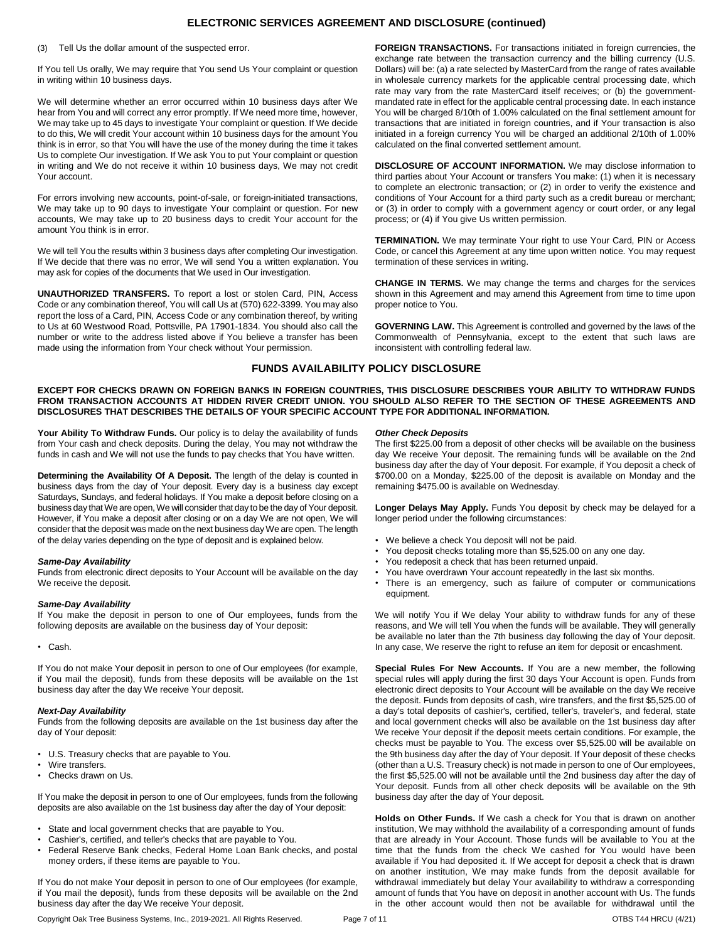# **ELECTRONIC SERVICES AGREEMENT AND DISCLOSURE (continued)**

(3) Tell Us the dollar amount of the suspected error.

If You tell Us orally, We may require that You send Us Your complaint or question in writing within 10 business days.

We will determine whether an error occurred within 10 business days after We hear from You and will correct any error promptly. If We need more time, however, We may take up to 45 days to investigate Your complaint or question. If We decide to do this, We will credit Your account within 10 business days for the amount You think is in error, so that You will have the use of the money during the time it takes Us to complete Our investigation. If We ask You to put Your complaint or question in writing and We do not receive it within 10 business days, We may not credit Your account.

For errors involving new accounts, point-of-sale, or foreign-initiated transactions, We may take up to 90 days to investigate Your complaint or question. For new accounts, We may take up to 20 business days to credit Your account for the amount You think is in error.

We will tell You the results within 3 business days after completing Our investigation. If We decide that there was no error, We will send You a written explanation. You may ask for copies of the documents that We used in Our investigation.

**UNAUTHORIZED TRANSFERS.** To report a lost or stolen Card, PIN, Access Code or any combination thereof, You will call Us at (570) 622-3399. You may also report the loss of a Card, PIN, Access Code or any combination thereof, by writing to Us at 60 Westwood Road, Pottsville, PA 17901-1834. You should also call the number or write to the address listed above if You believe a transfer has been made using the information from Your check without Your permission.

**FOREIGN TRANSACTIONS.** For transactions initiated in foreign currencies, the exchange rate between the transaction currency and the billing currency (U.S. Dollars) will be: (a) a rate selected by MasterCard from the range of rates available in wholesale currency markets for the applicable central processing date, which rate may vary from the rate MasterCard itself receives; or (b) the governmentmandated rate in effect for the applicable central processing date. In each instance You will be charged 8/10th of 1.00% calculated on the final settlement amount for transactions that are initiated in foreign countries, and if Your transaction is also initiated in a foreign currency You will be charged an additional 2/10th of 1.00% calculated on the final converted settlement amount.

**DISCLOSURE OF ACCOUNT INFORMATION.** We may disclose information to third parties about Your Account or transfers You make: (1) when it is necessary to complete an electronic transaction; or (2) in order to verify the existence and conditions of Your Account for a third party such as a credit bureau or merchant; or (3) in order to comply with a government agency or court order, or any legal process; or (4) if You give Us written permission.

**TERMINATION.** We may terminate Your right to use Your Card, PIN or Access Code, or cancel this Agreement at any time upon written notice. You may request termination of these services in writing.

**CHANGE IN TERMS.** We may change the terms and charges for the services shown in this Agreement and may amend this Agreement from time to time upon proper notice to You.

**GOVERNING LAW.** This Agreement is controlled and governed by the laws of the Commonwealth of Pennsylvania, except to the extent that such laws are inconsistent with controlling federal law.

## **FUNDS AVAILABILITY POLICY DISCLOSURE**

**EXCEPT FOR CHECKS DRAWN ON FOREIGN BANKS IN FOREIGN COUNTRIES, THIS DISCLOSURE DESCRIBES YOUR ABILITY TO WITHDRAW FUNDS FROM TRANSACTION ACCOUNTS AT HIDDEN RIVER CREDIT UNION. YOU SHOULD ALSO REFER TO THE SECTION OF THESE AGREEMENTS AND DISCLOSURES THAT DESCRIBES THE DETAILS OF YOUR SPECIFIC ACCOUNT TYPE FOR ADDITIONAL INFORMATION.**

**Your Ability To Withdraw Funds.** Our policy is to delay the availability of funds from Your cash and check deposits. During the delay, You may not withdraw the funds in cash and We will not use the funds to pay checks that You have written.

**Determining the Availability Of A Deposit.** The length of the delay is counted in business days from the day of Your deposit. Every day is a business day except Saturdays, Sundays, and federal holidays. If You make a deposit before closing on a business day that We are open, We will consider that day to be the day of Your deposit. However, if You make a deposit after closing or on a day We are not open, We will consider that the deposit was made on the next business day We are open. The length of the delay varies depending on the type of deposit and is explained below.

## *Same-Day Availability*

Funds from electronic direct deposits to Your Account will be available on the day We receive the deposit.

#### *Same-Day Availability*

If You make the deposit in person to one of Our employees, funds from the following deposits are available on the business day of Your deposit:

• Cash.

If You do not make Your deposit in person to one of Our employees (for example, if You mail the deposit), funds from these deposits will be available on the 1st business day after the day We receive Your deposit.

#### *Next-Day Availability*

Funds from the following deposits are available on the 1st business day after the day of Your deposit:

- U.S. Treasury checks that are payable to You.
- Wire transfers.
- Checks drawn on Us.

If You make the deposit in person to one of Our employees, funds from the following deposits are also available on the 1st business day after the day of Your deposit:

- State and local government checks that are payable to You.
- Cashier's, certified, and teller's checks that are payable to You.
- Federal Reserve Bank checks, Federal Home Loan Bank checks, and postal money orders, if these items are payable to You.

If You do not make Your deposit in person to one of Our employees (for example, if You mail the deposit), funds from these deposits will be available on the 2nd business day after the day We receive Your deposit.

#### *Other Check Deposits*

The first \$225.00 from a deposit of other checks will be available on the business day We receive Your deposit. The remaining funds will be available on the 2nd business day after the day of Your deposit. For example, if You deposit a check of \$700.00 on a Monday, \$225.00 of the deposit is available on Monday and the remaining \$475.00 is available on Wednesday.

**Longer Delays May Apply.** Funds You deposit by check may be delayed for a longer period under the following circumstances:

- We believe a check You deposit will not be paid.
- You deposit checks totaling more than \$5,525.00 on any one day.
- You redeposit a check that has been returned unpaid.
- You have overdrawn Your account repeatedly in the last six months.
- There is an emergency, such as failure of computer or communications equipment.

We will notify You if We delay Your ability to withdraw funds for any of these reasons, and We will tell You when the funds will be available. They will generally be available no later than the 7th business day following the day of Your deposit. In any case, We reserve the right to refuse an item for deposit or encashment.

**Special Rules For New Accounts.** If You are a new member, the following special rules will apply during the first 30 days Your Account is open. Funds from electronic direct deposits to Your Account will be available on the day We receive the deposit. Funds from deposits of cash, wire transfers, and the first \$5,525.00 of a day's total deposits of cashier's, certified, teller's, traveler's, and federal, state and local government checks will also be available on the 1st business day after We receive Your deposit if the deposit meets certain conditions. For example, the checks must be payable to You. The excess over \$5,525.00 will be available on the 9th business day after the day of Your deposit. If Your deposit of these checks (other than a U.S. Treasury check) is not made in person to one of Our employees, the first \$5,525.00 will not be available until the 2nd business day after the day of Your deposit. Funds from all other check deposits will be available on the 9th business day after the day of Your deposit.

**Holds on Other Funds.** If We cash a check for You that is drawn on another institution, We may withhold the availability of a corresponding amount of funds that are already in Your Account. Those funds will be available to You at the time that the funds from the check We cashed for You would have been available if You had deposited it. If We accept for deposit a check that is drawn on another institution, We may make funds from the deposit available for withdrawal immediately but delay Your availability to withdraw a corresponding amount of funds that You have on deposit in another account with Us. The funds in the other account would then not be available for withdrawal until the

Copyright Oak Tree Business Systems, Inc., 2019-2021. All Rights Reserved. Page 7 of 11 COTBS T44 HRCU (4/21)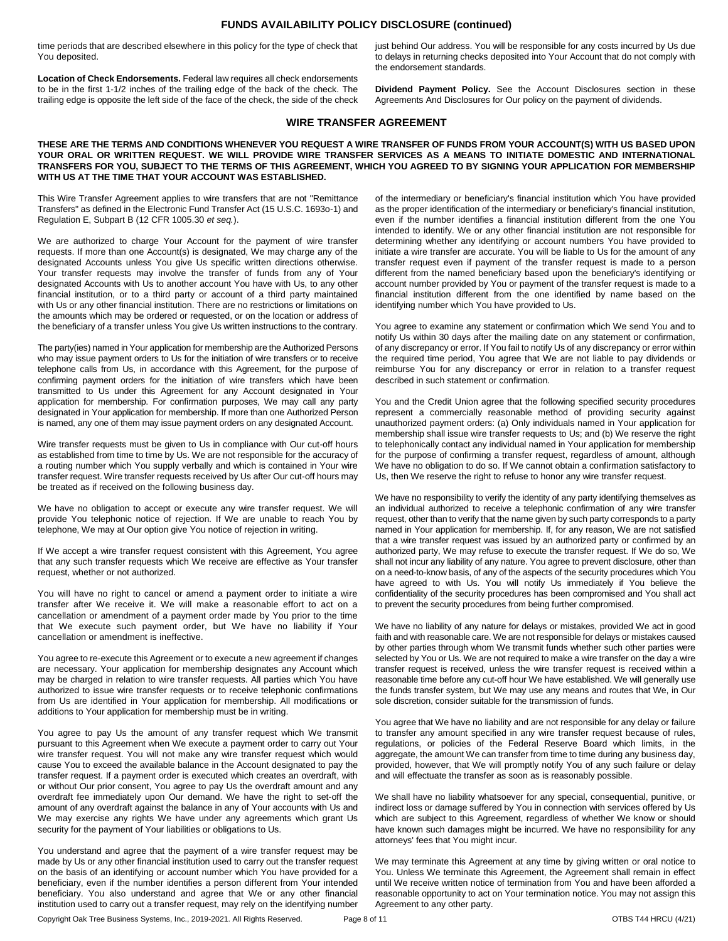## **FUNDS AVAILABILITY POLICY DISCLOSURE (continued)**

time periods that are described elsewhere in this policy for the type of check that You deposited.

**Location of Check Endorsements.** Federal law requires all check endorsements to be in the first 1-1/2 inches of the trailing edge of the back of the check. The trailing edge is opposite the left side of the face of the check, the side of the check just behind Our address. You will be responsible for any costs incurred by Us due to delays in returning checks deposited into Your Account that do not comply with the endorsement standards.

**Dividend Payment Policy.** See the Account Disclosures section in these Agreements And Disclosures for Our policy on the payment of dividends.

## **WIRE TRANSFER AGREEMENT**

#### **THESE ARE THE TERMS AND CONDITIONS WHENEVER YOU REQUEST A WIRE TRANSFER OF FUNDS FROM YOUR ACCOUNT(S) WITH US BASED UPON YOUR ORAL OR WRITTEN REQUEST. WE WILL PROVIDE WIRE TRANSFER SERVICES AS A MEANS TO INITIATE DOMESTIC AND INTERNATIONAL TRANSFERS FOR YOU, SUBJECT TO THE TERMS OF THIS AGREEMENT, WHICH YOU AGREED TO BY SIGNING YOUR APPLICATION FOR MEMBERSHIP WITH US AT THE TIME THAT YOUR ACCOUNT WAS ESTABLISHED.**

This Wire Transfer Agreement applies to wire transfers that are not "Remittance Transfers" as defined in the Electronic Fund Transfer Act (15 U.S.C. 1693o-1) and Regulation E, Subpart B (12 CFR 1005.30 *et seq.*).

We are authorized to charge Your Account for the payment of wire transfer requests. If more than one Account(s) is designated, We may charge any of the designated Accounts unless You give Us specific written directions otherwise. Your transfer requests may involve the transfer of funds from any of Your designated Accounts with Us to another account You have with Us, to any other financial institution, or to a third party or account of a third party maintained with Us or any other financial institution. There are no restrictions or limitations on the amounts which may be ordered or requested, or on the location or address of the beneficiary of a transfer unless You give Us written instructions to the contrary.

The party(ies) named in Your application for membership are the Authorized Persons who may issue payment orders to Us for the initiation of wire transfers or to receive telephone calls from Us, in accordance with this Agreement, for the purpose of confirming payment orders for the initiation of wire transfers which have been transmitted to Us under this Agreement for any Account designated in Your application for membership. For confirmation purposes, We may call any party designated in Your application for membership. If more than one Authorized Person is named, any one of them may issue payment orders on any designated Account.

Wire transfer requests must be given to Us in compliance with Our cut-off hours as established from time to time by Us. We are not responsible for the accuracy of a routing number which You supply verbally and which is contained in Your wire transfer request. Wire transfer requests received by Us after Our cut-off hours may be treated as if received on the following business day.

We have no obligation to accept or execute any wire transfer request. We will provide You telephonic notice of rejection. If We are unable to reach You by telephone, We may at Our option give You notice of rejection in writing.

If We accept a wire transfer request consistent with this Agreement, You agree that any such transfer requests which We receive are effective as Your transfer request, whether or not authorized.

You will have no right to cancel or amend a payment order to initiate a wire transfer after We receive it. We will make a reasonable effort to act on a cancellation or amendment of a payment order made by You prior to the time that We execute such payment order, but We have no liability if Your cancellation or amendment is ineffective.

You agree to re-execute this Agreement or to execute a new agreement if changes are necessary. Your application for membership designates any Account which may be charged in relation to wire transfer requests. All parties which You have authorized to issue wire transfer requests or to receive telephonic confirmations from Us are identified in Your application for membership. All modifications or additions to Your application for membership must be in writing.

You agree to pay Us the amount of any transfer request which We transmit pursuant to this Agreement when We execute a payment order to carry out Your wire transfer request. You will not make any wire transfer request which would cause You to exceed the available balance in the Account designated to pay the transfer request. If a payment order is executed which creates an overdraft, with or without Our prior consent, You agree to pay Us the overdraft amount and any overdraft fee immediately upon Our demand. We have the right to set-off the amount of any overdraft against the balance in any of Your accounts with Us and We may exercise any rights We have under any agreements which grant Us security for the payment of Your liabilities or obligations to Us.

You understand and agree that the payment of a wire transfer request may be made by Us or any other financial institution used to carry out the transfer request on the basis of an identifying or account number which You have provided for a beneficiary, even if the number identifies a person different from Your intended beneficiary. You also understand and agree that We or any other financial institution used to carry out a transfer request, may rely on the identifying number of the intermediary or beneficiary's financial institution which You have provided as the proper identification of the intermediary or beneficiary's financial institution, even if the number identifies a financial institution different from the one You intended to identify. We or any other financial institution are not responsible for determining whether any identifying or account numbers You have provided to initiate a wire transfer are accurate. You will be liable to Us for the amount of any transfer request even if payment of the transfer request is made to a person different from the named beneficiary based upon the beneficiary's identifying or account number provided by You or payment of the transfer request is made to a financial institution different from the one identified by name based on the identifying number which You have provided to Us.

You agree to examine any statement or confirmation which We send You and to notify Us within 30 days after the mailing date on any statement or confirmation, of any discrepancy or error. If You fail to notify Us of any discrepancy or error within the required time period, You agree that We are not liable to pay dividends or reimburse You for any discrepancy or error in relation to a transfer request described in such statement or confirmation.

You and the Credit Union agree that the following specified security procedures represent a commercially reasonable method of providing security against unauthorized payment orders: (a) Only individuals named in Your application for membership shall issue wire transfer requests to Us; and (b) We reserve the right to telephonically contact any individual named in Your application for membership for the purpose of confirming a transfer request, regardless of amount, although We have no obligation to do so. If We cannot obtain a confirmation satisfactory to Us, then We reserve the right to refuse to honor any wire transfer request.

We have no responsibility to verify the identity of any party identifying themselves as an individual authorized to receive a telephonic confirmation of any wire transfer request, other than to verify that the name given by such party corresponds to a party named in Your application for membership. If, for any reason, We are not satisfied that a wire transfer request was issued by an authorized party or confirmed by an authorized party, We may refuse to execute the transfer request. If We do so, We shall not incur any liability of any nature. You agree to prevent disclosure, other than on a need-to-know basis, of any of the aspects of the security procedures which You have agreed to with Us. You will notify Us immediately if You believe the confidentiality of the security procedures has been compromised and You shall act to prevent the security procedures from being further compromised.

We have no liability of any nature for delays or mistakes, provided We act in good faith and with reasonable care. We are not responsible for delays or mistakes caused by other parties through whom We transmit funds whether such other parties were selected by You or Us. We are not required to make a wire transfer on the day a wire transfer request is received, unless the wire transfer request is received within a reasonable time before any cut-off hour We have established. We will generally use the funds transfer system, but We may use any means and routes that We, in Our sole discretion, consider suitable for the transmission of funds.

You agree that We have no liability and are not responsible for any delay or failure to transfer any amount specified in any wire transfer request because of rules, regulations, or policies of the Federal Reserve Board which limits, in the aggregate, the amount We can transfer from time to time during any business day, provided, however, that We will promptly notify You of any such failure or delay and will effectuate the transfer as soon as is reasonably possible.

We shall have no liability whatsoever for any special, consequential, punitive, or indirect loss or damage suffered by You in connection with services offered by Us which are subject to this Agreement, regardless of whether We know or should have known such damages might be incurred. We have no responsibility for any attorneys' fees that You might incur.

We may terminate this Agreement at any time by giving written or oral notice to You. Unless We terminate this Agreement, the Agreement shall remain in effect until We receive written notice of termination from You and have been afforded a reasonable opportunity to act on Your termination notice. You may not assign this Agreement to any other party.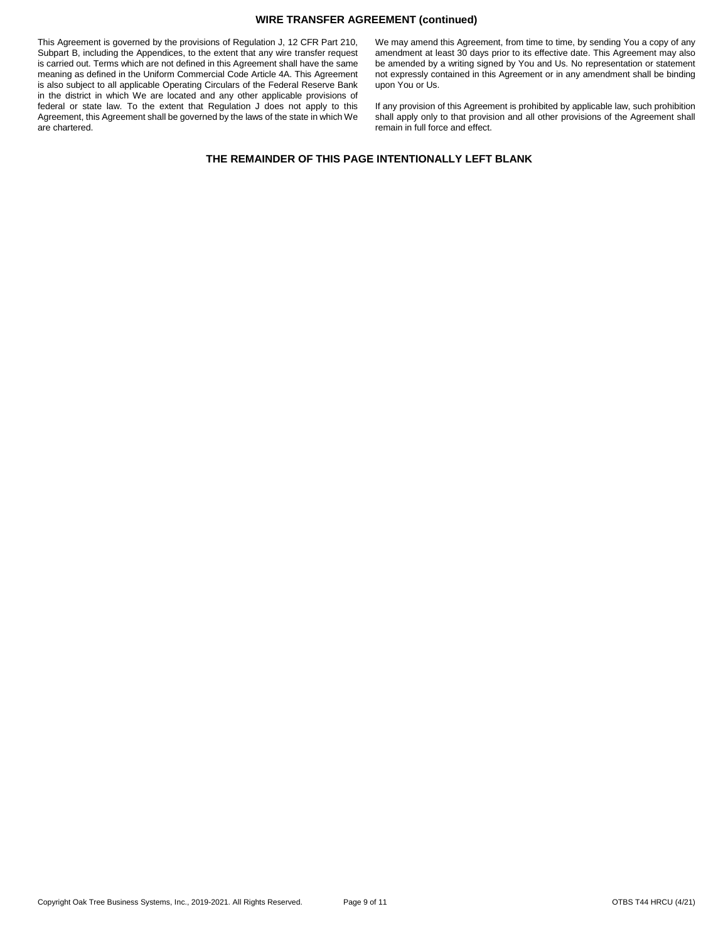## **WIRE TRANSFER AGREEMENT (continued)**

This Agreement is governed by the provisions of Regulation J, 12 CFR Part 210, Subpart B, including the Appendices, to the extent that any wire transfer request is carried out. Terms which are not defined in this Agreement shall have the same meaning as defined in the Uniform Commercial Code Article 4A. This Agreement is also subject to all applicable Operating Circulars of the Federal Reserve Bank in the district in which We are located and any other applicable provisions of federal or state law. To the extent that Regulation J does not apply to this Agreement, this Agreement shall be governed by the laws of the state in which We are chartered.

We may amend this Agreement, from time to time, by sending You a copy of any amendment at least 30 days prior to its effective date. This Agreement may also be amended by a writing signed by You and Us. No representation or statement not expressly contained in this Agreement or in any amendment shall be binding upon You or Us.

If any provision of this Agreement is prohibited by applicable law, such prohibition shall apply only to that provision and all other provisions of the Agreement shall remain in full force and effect.

# **THE REMAINDER OF THIS PAGE INTENTIONALLY LEFT BLANK**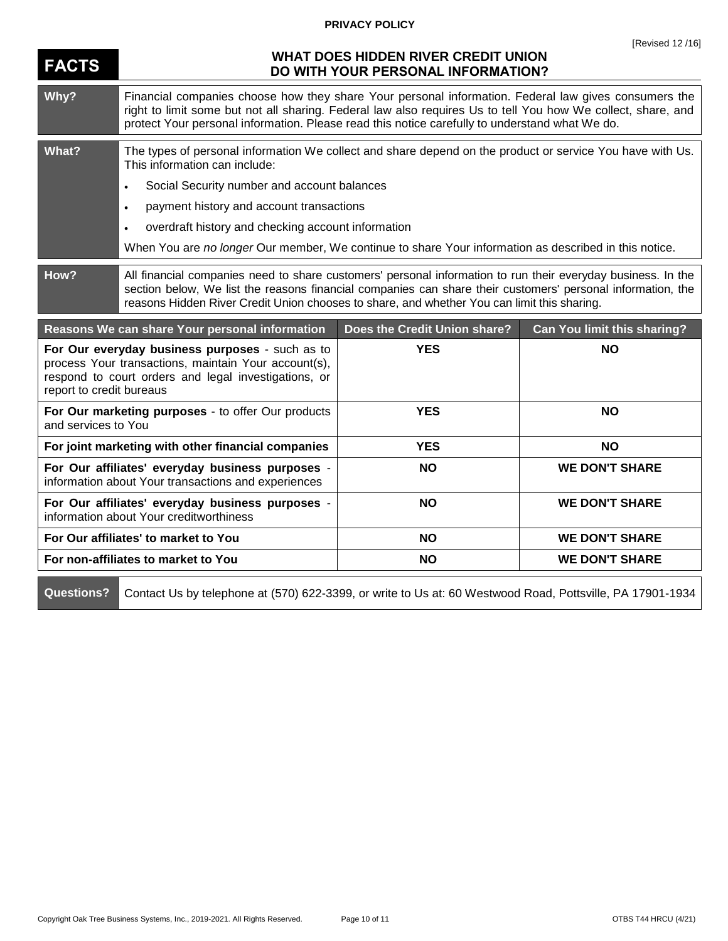# **PRIVACY POLICY**

| <b>FACTS</b>             | 11501350121101<br><b>WHAT DOES HIDDEN RIVER CREDIT UNION</b><br>DO WITH YOUR PERSONAL INFORMATION?                                                                                                                                                                                                                         |                              |                             |
|--------------------------|----------------------------------------------------------------------------------------------------------------------------------------------------------------------------------------------------------------------------------------------------------------------------------------------------------------------------|------------------------------|-----------------------------|
| Why?                     | Financial companies choose how they share Your personal information. Federal law gives consumers the<br>right to limit some but not all sharing. Federal law also requires Us to tell You how We collect, share, and<br>protect Your personal information. Please read this notice carefully to understand what We do.     |                              |                             |
| What?                    | The types of personal information We collect and share depend on the product or service You have with Us.<br>This information can include:                                                                                                                                                                                 |                              |                             |
|                          | Social Security number and account balances<br>$\bullet$                                                                                                                                                                                                                                                                   |                              |                             |
|                          | payment history and account transactions<br>$\bullet$                                                                                                                                                                                                                                                                      |                              |                             |
|                          | overdraft history and checking account information<br>$\bullet$                                                                                                                                                                                                                                                            |                              |                             |
|                          | When You are no longer Our member, We continue to share Your information as described in this notice.                                                                                                                                                                                                                      |                              |                             |
| How?                     | All financial companies need to share customers' personal information to run their everyday business. In the<br>section below, We list the reasons financial companies can share their customers' personal information, the<br>reasons Hidden River Credit Union chooses to share, and whether You can limit this sharing. |                              |                             |
|                          |                                                                                                                                                                                                                                                                                                                            |                              |                             |
|                          | Reasons We can share Your personal information                                                                                                                                                                                                                                                                             | Does the Credit Union share? | Can You limit this sharing? |
| report to credit bureaus | For Our everyday business purposes - such as to<br>process Your transactions, maintain Your account(s),<br>respond to court orders and legal investigations, or                                                                                                                                                            | <b>YES</b>                   | <b>NO</b>                   |
| and services to You      | For Our marketing purposes - to offer Our products                                                                                                                                                                                                                                                                         | <b>YES</b>                   | <b>NO</b>                   |
|                          | For joint marketing with other financial companies                                                                                                                                                                                                                                                                         | <b>YES</b>                   | <b>NO</b>                   |
|                          | For Our affiliates' everyday business purposes -<br>information about Your transactions and experiences                                                                                                                                                                                                                    | <b>NO</b>                    | <b>WE DON'T SHARE</b>       |
|                          | For Our affiliates' everyday business purposes -<br>information about Your creditworthiness                                                                                                                                                                                                                                | <b>NO</b>                    | <b>WE DON'T SHARE</b>       |
|                          | For Our affiliates' to market to You                                                                                                                                                                                                                                                                                       | <b>NO</b>                    | <b>WE DON'T SHARE</b>       |
|                          | For non-affiliates to market to You                                                                                                                                                                                                                                                                                        | <b>NO</b>                    | <b>WE DON'T SHARE</b>       |

Questions? Contact Us by telephone at (570) 622-3399, or write to Us at: 60 Westwood Road, Pottsville, PA 17901-1934